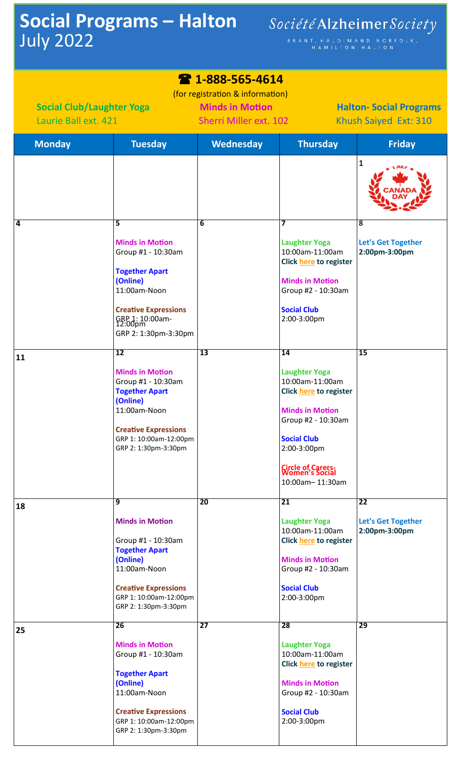## **Social Programs – Halton** July 2022

BRANT, HALDIMAND NORFOLK,<br>HAMILTON HALTON

## **1-888-565-4614**

(for registration & information)  **Social Club/Laughter Yoga Minds in Motion Halton-Social Programs** Laurie Ball ext. 421 Sherri Miller ext. 102 Khush Saiyed Ext: 310

| <b>Monday</b> | <b>Tuesday</b>                                                                                                                                                                                        | <b>Wednesday</b> | <b>Thursday</b>                                                                                                                                                                                                              | <b>Friday</b>                                                  |
|---------------|-------------------------------------------------------------------------------------------------------------------------------------------------------------------------------------------------------|------------------|------------------------------------------------------------------------------------------------------------------------------------------------------------------------------------------------------------------------------|----------------------------------------------------------------|
|               |                                                                                                                                                                                                       |                  |                                                                                                                                                                                                                              | $\mathbf{1}$                                                   |
| 4             | 5<br><b>Minds in Motion</b><br>Group #1 - 10:30am<br><b>Together Apart</b><br>(Online)<br>11:00am-Noon<br><b>Creative Expressions</b><br>GRP 1: 10:00am-<br>12:00pm<br>GRP 2: 1:30pm-3:30pm           | 6                | 7<br><b>Laughter Yoga</b><br>10:00am-11:00am<br>Click here to register<br><b>Minds in Motion</b><br>Group #2 - 10:30am<br><b>Social Club</b><br>2:00-3:00pm                                                                  | $\overline{\mathbf{8}}$<br>Let's Get Together<br>2:00pm-3:00pm |
| 11            | $\overline{12}$<br><b>Minds in Motion</b><br>Group #1 - 10:30am<br><b>Together Apart</b><br>(Online)<br>11:00am-Noon<br><b>Creative Expressions</b><br>GRP 1: 10:00am-12:00pm<br>GRP 2: 1:30pm-3:30pm | 13               | 14<br><b>Laughter Yoga</b><br>10:00am-11:00am<br>Click here to register<br><b>Minds in Motion</b><br>Group #2 - 10:30am<br><b>Social Club</b><br>2:00-3:00pm<br><b>Circle of Carers</b><br>Women's Social<br>10:00am-11:30am | 15                                                             |
| 18            | $\overline{9}$<br><b>Minds in Motion</b><br>Group #1 - 10:30am<br><b>Together Apart</b><br>(Online)<br>11:00am-Noon<br><b>Creative Expressions</b><br>GRP 1: 10:00am-12:00pm<br>GRP 2: 1:30pm-3:30pm  | 20               | 21<br><b>Laughter Yoga</b><br>10:00am-11:00am<br>Click here to register<br><b>Minds in Motion</b><br>Group #2 - 10:30am<br><b>Social Club</b><br>2:00-3:00pm                                                                 | 22<br><b>Let's Get Together</b><br>2:00pm-3:00pm               |
| 25            | 26<br><b>Minds in Motion</b><br>Group #1 - 10:30am<br><b>Together Apart</b><br>(Online)<br>11:00am-Noon<br><b>Creative Expressions</b><br>GRP 1: 10:00am-12:00pm<br>GRP 2: 1:30pm-3:30pm              | $\overline{27}$  | 28<br><b>Laughter Yoga</b><br>10:00am-11:00am<br>Click here to register<br><b>Minds in Motion</b><br>Group #2 - 10:30am<br><b>Social Club</b><br>2:00-3:00pm                                                                 | 29                                                             |